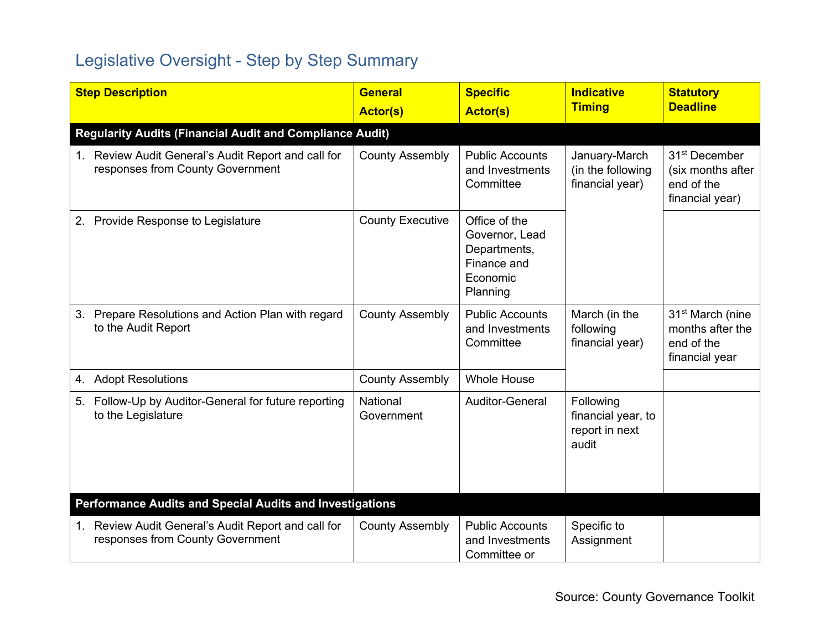## Legislative Oversight - Step by Step Summary

| <b>Step Description</b>                                                                 | <b>General</b><br><b>Actor(s)</b> | <b>Specific</b><br><b>Actor(s)</b>                                                     | <b>Indicative</b><br><b>Timing</b>                         | <b>Statutory</b><br><b>Deadline</b>                                              |  |  |  |
|-----------------------------------------------------------------------------------------|-----------------------------------|----------------------------------------------------------------------------------------|------------------------------------------------------------|----------------------------------------------------------------------------------|--|--|--|
| <b>Regularity Audits (Financial Audit and Compliance Audit)</b>                         |                                   |                                                                                        |                                                            |                                                                                  |  |  |  |
| 1. Review Audit General's Audit Report and call for<br>responses from County Government | <b>County Assembly</b>            | <b>Public Accounts</b><br>and Investments<br>Committee                                 | January-March<br>(in the following<br>financial year)      | 31 <sup>st</sup> December<br>(six months after<br>end of the<br>financial year)  |  |  |  |
| Provide Response to Legislature<br>2.                                                   | <b>County Executive</b>           | Office of the<br>Governor, Lead<br>Departments,<br>Finance and<br>Economic<br>Planning |                                                            |                                                                                  |  |  |  |
| Prepare Resolutions and Action Plan with regard<br>3.<br>to the Audit Report            | <b>County Assembly</b>            | <b>Public Accounts</b><br>and Investments<br>Committee                                 | March (in the<br>following<br>financial year)              | 31 <sup>st</sup> March (nine<br>months after the<br>end of the<br>financial year |  |  |  |
| <b>Adopt Resolutions</b><br>4.                                                          | <b>County Assembly</b>            | <b>Whole House</b>                                                                     |                                                            |                                                                                  |  |  |  |
| 5. Follow-Up by Auditor-General for future reporting<br>to the Legislature              | National<br>Government            | <b>Auditor-General</b>                                                                 | Following<br>financial year, to<br>report in next<br>audit |                                                                                  |  |  |  |
| Performance Audits and Special Audits and Investigations                                |                                   |                                                                                        |                                                            |                                                                                  |  |  |  |
| 1. Review Audit General's Audit Report and call for<br>responses from County Government | <b>County Assembly</b>            | <b>Public Accounts</b><br>and Investments<br>Committee or                              | Specific to<br>Assignment                                  |                                                                                  |  |  |  |